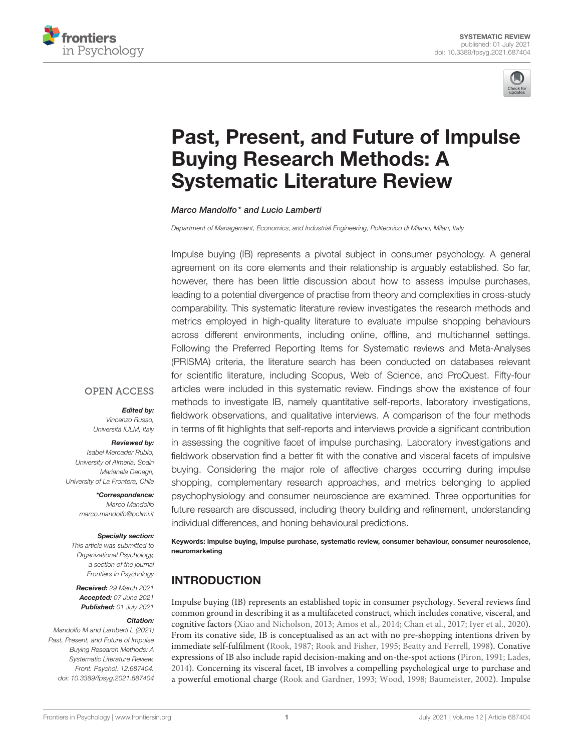



# [Past, Present, and Future of Impulse](https://www.frontiersin.org/articles/10.3389/fpsyg.2021.687404/full) Buying Research Methods: A Systematic Literature Review

Marco Mandolfo\* and Lucio Lamberti

Department of Management, Economics, and Industrial Engineering, Politecnico di Milano, Milan, Italy

Impulse buying (IB) represents a pivotal subject in consumer psychology. A general agreement on its core elements and their relationship is arguably established. So far, however, there has been little discussion about how to assess impulse purchases, leading to a potential divergence of practise from theory and complexities in cross-study comparability. This systematic literature review investigates the research methods and metrics employed in high-quality literature to evaluate impulse shopping behaviours across different environments, including online, offline, and multichannel settings. Following the Preferred Reporting Items for Systematic reviews and Meta-Analyses (PRISMA) criteria, the literature search has been conducted on databases relevant for scientific literature, including Scopus, Web of Science, and ProQuest. Fifty-four articles were included in this systematic review. Findings show the existence of four methods to investigate IB, namely quantitative self-reports, laboratory investigations, fieldwork observations, and qualitative interviews. A comparison of the four methods in terms of fit highlights that self-reports and interviews provide a significant contribution in assessing the cognitive facet of impulse purchasing. Laboratory investigations and fieldwork observation find a better fit with the conative and visceral facets of impulsive buying. Considering the major role of affective charges occurring during impulse shopping, complementary research approaches, and metrics belonging to applied psychophysiology and consumer neuroscience are examined. Three opportunities for future research are discussed, including theory building and refinement, understanding individual differences, and honing behavioural predictions.

## **OPEN ACCESS**

Edited by:

Vincenzo Russo, Università IULM, Italy

#### Reviewed by:

Isabel Mercader Rubio, University of Almeria, Spain Marianela Denegri, University of La Frontera, Chile

> \*Correspondence: Marco Mandolfo [marco.mandolfo@polimi.it](mailto:marco.mandolfo@polimi.it)

#### Specialty section:

This article was submitted to Organizational Psychology, a section of the journal Frontiers in Psychology

Received: 29 March 2021 Accepted: 07 June 2021 Published: 01 July 2021

#### Citation:

Mandolfo M and Lamberti L (2021) Past, Present, and Future of Impulse Buying Research Methods: A Systematic Literature Review. Front. Psychol. 12:687404. doi: [10.3389/fpsyg.2021.687404](https://doi.org/10.3389/fpsyg.2021.687404)

Keywords: impulse buying, impulse purchase, systematic review, consumer behaviour, consumer neuroscience, neuromarketing

# INTRODUCTION

Impulse buying (IB) represents an established topic in consumer psychology. Several reviews find common ground in describing it as a multifaceted construct, which includes conative, visceral, and cognitive factors [\(Xiao and Nicholson, 2013;](#page-10-0) [Amos et al., 2014;](#page-9-0) [Chan et al., 2017;](#page-9-1) [Iyer et al., 2020\)](#page-9-2). From its conative side, IB is conceptualised as an act with no pre-shopping intentions driven by immediate self-fulfilment [\(Rook, 1987;](#page-10-1) [Rook and Fisher, 1995;](#page-10-2) [Beatty and Ferrell, 1998\)](#page-9-3). Conative expressions of IB also include rapid decision-making and on-the-spot actions [\(Piron, 1991;](#page-10-3) [Lades,](#page-9-4) [2014\)](#page-9-4). Concerning its visceral facet, IB involves a compelling psychological urge to purchase and a powerful emotional charge [\(Rook and Gardner, 1993;](#page-10-4) [Wood, 1998;](#page-10-5) [Baumeister, 2002\)](#page-9-5). Impulse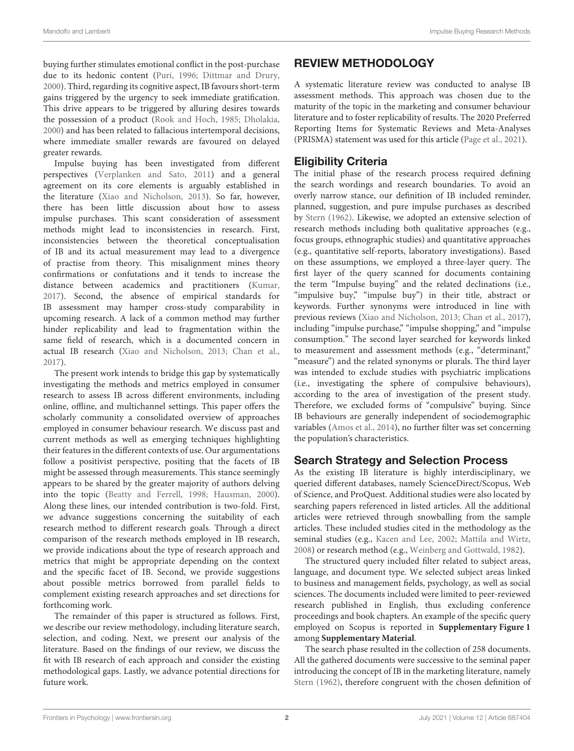buying further stimulates emotional conflict in the post-purchase due to its hedonic content [\(Puri, 1996;](#page-10-6) [Dittmar and Drury,](#page-9-6) [2000\)](#page-9-6). Third, regarding its cognitive aspect, IB favours short-term gains triggered by the urgency to seek immediate gratification. This drive appears to be triggered by alluring desires towards the possession of a product [\(Rook and Hoch, 1985;](#page-10-7) [Dholakia,](#page-9-7) [2000\)](#page-9-7) and has been related to fallacious intertemporal decisions, where immediate smaller rewards are favoured on delayed greater rewards.

Impulse buying has been investigated from different perspectives [\(Verplanken and Sato, 2011\)](#page-10-8) and a general agreement on its core elements is arguably established in the literature [\(Xiao and Nicholson, 2013\)](#page-10-0). So far, however, there has been little discussion about how to assess impulse purchases. This scant consideration of assessment methods might lead to inconsistencies in research. First, inconsistencies between the theoretical conceptualisation of IB and its actual measurement may lead to a divergence of practise from theory. This misalignment mines theory confirmations or confutations and it tends to increase the distance between academics and practitioners [\(Kumar,](#page-9-8) [2017\)](#page-9-8). Second, the absence of empirical standards for IB assessment may hamper cross-study comparability in upcoming research. A lack of a common method may further hinder replicability and lead to fragmentation within the same field of research, which is a documented concern in actual IB research [\(Xiao and Nicholson, 2013;](#page-10-0) [Chan et al.,](#page-9-1) [2017\)](#page-9-1).

The present work intends to bridge this gap by systematically investigating the methods and metrics employed in consumer research to assess IB across different environments, including online, offline, and multichannel settings. This paper offers the scholarly community a consolidated overview of approaches employed in consumer behaviour research. We discuss past and current methods as well as emerging techniques highlighting their features in the different contexts of use. Our argumentations follow a positivist perspective, positing that the facets of IB might be assessed through measurements. This stance seemingly appears to be shared by the greater majority of authors delving into the topic [\(Beatty and Ferrell, 1998;](#page-9-3) [Hausman, 2000\)](#page-9-9). Along these lines, our intended contribution is two-fold. First, we advance suggestions concerning the suitability of each research method to different research goals. Through a direct comparison of the research methods employed in IB research, we provide indications about the type of research approach and metrics that might be appropriate depending on the context and the specific facet of IB. Second, we provide suggestions about possible metrics borrowed from parallel fields to complement existing research approaches and set directions for forthcoming work.

The remainder of this paper is structured as follows. First, we describe our review methodology, including literature search, selection, and coding. Next, we present our analysis of the literature. Based on the findings of our review, we discuss the fit with IB research of each approach and consider the existing methodological gaps. Lastly, we advance potential directions for future work.

# REVIEW METHODOLOGY

A systematic literature review was conducted to analyse IB assessment methods. This approach was chosen due to the maturity of the topic in the marketing and consumer behaviour literature and to foster replicability of results. The 2020 Preferred Reporting Items for Systematic Reviews and Meta-Analyses (PRISMA) statement was used for this article [\(Page et al., 2021\)](#page-10-9).

# Eligibility Criteria

The initial phase of the research process required defining the search wordings and research boundaries. To avoid an overly narrow stance, our definition of IB included reminder, planned, suggestion, and pure impulse purchases as described by [Stern \(1962\)](#page-10-10). Likewise, we adopted an extensive selection of research methods including both qualitative approaches (e.g., focus groups, ethnographic studies) and quantitative approaches (e.g., quantitative self-reports, laboratory investigations). Based on these assumptions, we employed a three-layer query. The first layer of the query scanned for documents containing the term "Impulse buying" and the related declinations (i.e., "impulsive buy," "impulse buy") in their title, abstract or keywords. Further synonyms were introduced in line with previous reviews [\(Xiao and Nicholson, 2013;](#page-10-0) [Chan et al., 2017\)](#page-9-1), including "impulse purchase," "impulse shopping," and "impulse consumption." The second layer searched for keywords linked to measurement and assessment methods (e.g., "determinant," "measure") and the related synonyms or plurals. The third layer was intended to exclude studies with psychiatric implications (i.e., investigating the sphere of compulsive behaviours), according to the area of investigation of the present study. Therefore, we excluded forms of "compulsive" buying. Since IB behaviours are generally independent of sociodemographic variables [\(Amos et al., 2014\)](#page-9-0), no further filter was set concerning the population's characteristics.

# Search Strategy and Selection Process

As the existing IB literature is highly interdisciplinary, we queried different databases, namely ScienceDirect/Scopus, Web of Science, and ProQuest. Additional studies were also located by searching papers referenced in listed articles. All the additional articles were retrieved through snowballing from the sample articles. These included studies cited in the methodology as the seminal studies (e.g., [Kacen and Lee, 2002;](#page-9-10) [Mattila and Wirtz,](#page-10-11) [2008\)](#page-10-11) or research method (e.g., [Weinberg and Gottwald, 1982\)](#page-10-12).

The structured query included filter related to subject areas, language, and document type. We selected subject areas linked to business and management fields, psychology, as well as social sciences. The documents included were limited to peer-reviewed research published in English, thus excluding conference proceedings and book chapters. An example of the specific query employed on Scopus is reported in **[Supplementary Figure 1](#page-8-0)** among **[Supplementary Material](#page-8-0)**.

The search phase resulted in the collection of 258 documents. All the gathered documents were successive to the seminal paper introducing the concept of IB in the marketing literature, namely [Stern \(1962\)](#page-10-10), therefore congruent with the chosen definition of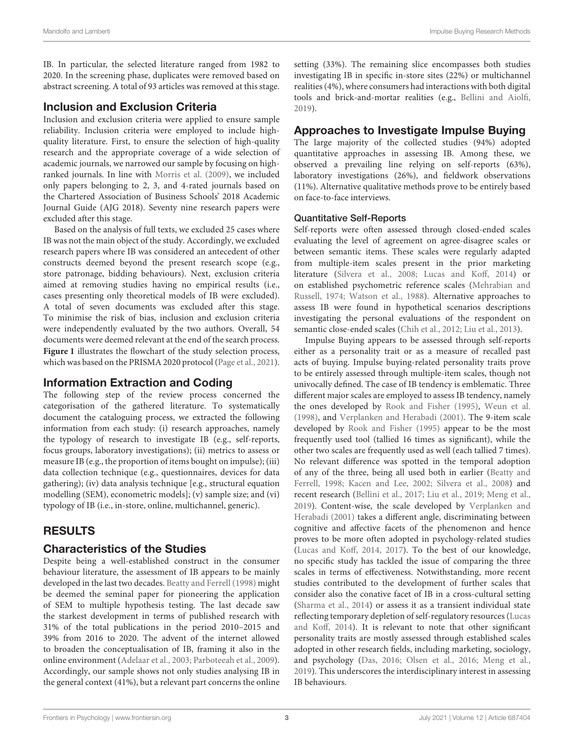IB. In particular, the selected literature ranged from 1982 to 2020. In the screening phase, duplicates were removed based on abstract screening. A total of 93 articles was removed at this stage.

## Inclusion and Exclusion Criteria

Inclusion and exclusion criteria were applied to ensure sample reliability. Inclusion criteria were employed to include highquality literature. First, to ensure the selection of high-quality research and the appropriate coverage of a wide selection of academic journals, we narrowed our sample by focusing on highranked journals. In line with [Morris et al. \(2009\)](#page-10-13), we included only papers belonging to 2, 3, and 4-rated journals based on the Chartered Association of Business Schools' 2018 Academic Journal Guide (AJG 2018). Seventy nine research papers were excluded after this stage.

Based on the analysis of full texts, we excluded 25 cases where IB was not the main object of the study. Accordingly, we excluded research papers where IB was considered an antecedent of other constructs deemed beyond the present research scope (e.g., store patronage, bidding behaviours). Next, exclusion criteria aimed at removing studies having no empirical results (i.e., cases presenting only theoretical models of IB were excluded). A total of seven documents was excluded after this stage. To minimise the risk of bias, inclusion and exclusion criteria were independently evaluated by the two authors. Overall, 54 documents were deemed relevant at the end of the search process. **[Figure 1](#page-3-0)** illustrates the flowchart of the study selection process, which was based on the PRISMA 2020 protocol [\(Page et al., 2021\)](#page-10-9).

# Information Extraction and Coding

The following step of the review process concerned the categorisation of the gathered literature. To systematically document the cataloguing process, we extracted the following information from each study: (i) research approaches, namely the typology of research to investigate IB (e.g., self-reports, focus groups, laboratory investigations); (ii) metrics to assess or measure IB (e.g., the proportion of items bought on impulse); (iii) data collection technique (e.g., questionnaires, devices for data gathering); (iv) data analysis technique [e.g., structural equation modelling (SEM), econometric models]; (v) sample size; and (vi) typology of IB (i.e., in-store, online, multichannel, generic).

# RESULTS

# Characteristics of the Studies

Despite being a well-established construct in the consumer behaviour literature, the assessment of IB appears to be mainly developed in the last two decades. [Beatty and Ferrell \(1998\)](#page-9-3) might be deemed the seminal paper for pioneering the application of SEM to multiple hypothesis testing. The last decade saw the starkest development in terms of published research with 31% of the total publications in the period 2010–2015 and 39% from 2016 to 2020. The advent of the internet allowed to broaden the conceptualisation of IB, framing it also in the online environment [\(Adelaar et al., 2003;](#page-9-11) [Parboteeah et al., 2009\)](#page-10-14). Accordingly, our sample shows not only studies analysing IB in the general context (41%), but a relevant part concerns the online setting (33%). The remaining slice encompasses both studies investigating IB in specific in-store sites (22%) or multichannel realities (4%), where consumers had interactions with both digital tools and brick-and-mortar realities (e.g., [Bellini and Aiolfi,](#page-9-12) [2019\)](#page-9-12).

# Approaches to Investigate Impulse Buying

The large majority of the collected studies (94%) adopted quantitative approaches in assessing IB. Among these, we observed a prevailing line relying on self-reports (63%), laboratory investigations (26%), and fieldwork observations (11%). Alternative qualitative methods prove to be entirely based on face-to-face interviews.

### Quantitative Self-Reports

Self-reports were often assessed through closed-ended scales evaluating the level of agreement on agree-disagree scales or between semantic items. These scales were regularly adapted from multiple-item scales present in the prior marketing literature [\(Silvera et al., 2008;](#page-10-15) [Lucas and Koff, 2014\)](#page-10-16) or on established psychometric reference scales (Mehrabian and Russell, [1974;](#page-10-17) [Watson et al., 1988\)](#page-10-18). Alternative approaches to assess IB were found in hypothetical scenarios descriptions investigating the personal evaluations of the respondent on semantic close-ended scales [\(Chih et al., 2012;](#page-9-13) [Liu et al., 2013\)](#page-9-14).

Impulse Buying appears to be assessed through self-reports either as a personality trait or as a measure of recalled past acts of buying. Impulse buying-related personality traits prove to be entirely assessed through multiple-item scales, though not univocally defined. The case of IB tendency is emblematic. Three different major scales are employed to assess IB tendency, namely the ones developed by [Rook and Fisher \(1995\)](#page-10-2), [Weun et al.](#page-10-19) [\(1998\)](#page-10-19), and [Verplanken and Herabadi \(2001\)](#page-10-20). The 9-item scale developed by [Rook and Fisher \(1995\)](#page-10-2) appear to be the most frequently used tool (tallied 16 times as significant), while the other two scales are frequently used as well (each tallied 7 times). No relevant difference was spotted in the temporal adoption of any of the three, being all used both in earlier (Beatty and Ferrell, [1998;](#page-9-3) [Kacen and Lee, 2002;](#page-9-10) [Silvera et al., 2008\)](#page-10-15) and recent research [\(Bellini et al., 2017;](#page-9-15) [Liu et al., 2019;](#page-9-16) [Meng et al.,](#page-10-21) [2019\)](#page-10-21). Content-wise, the scale developed by Verplanken and Herabadi [\(2001\)](#page-10-20) takes a different angle, discriminating between cognitive and affective facets of the phenomenon and hence proves to be more often adopted in psychology-related studies [\(Lucas and Koff, 2014,](#page-10-16) [2017\)](#page-10-22). To the best of our knowledge, no specific study has tackled the issue of comparing the three scales in terms of effectiveness. Notwithstanding, more recent studies contributed to the development of further scales that consider also the conative facet of IB in a cross-cultural setting [\(Sharma et al., 2014\)](#page-10-23) or assess it as a transient individual state reflecting temporary depletion of self-regulatory resources(Lucas and Koff, [2014\)](#page-10-16). It is relevant to note that other significant personality traits are mostly assessed through established scales adopted in other research fields, including marketing, sociology, and psychology [\(Das, 2016;](#page-9-17) [Olsen et al., 2016;](#page-10-24) [Meng et al.,](#page-10-21) [2019\)](#page-10-21). This underscores the interdisciplinary interest in assessing IB behaviours.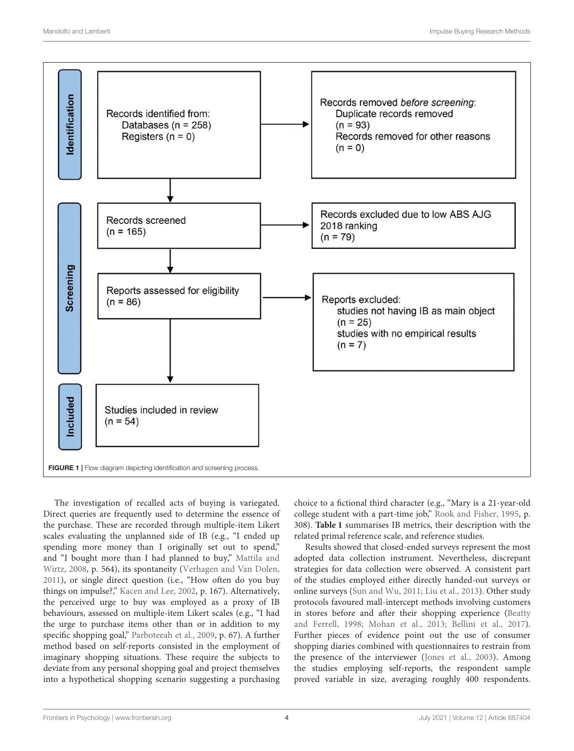

<span id="page-3-0"></span>The investigation of recalled acts of buying is variegated. Direct queries are frequently used to determine the essence of the purchase. These are recorded through multiple-item Likert scales evaluating the unplanned side of IB (e.g., "I ended up spending more money than I originally set out to spend," and "I bought more than I had planned to buy," Mattila and Wirtz, [2008,](#page-10-11) p. 564), its spontaneity [\(Verhagen and Van Dolen,](#page-10-25) [2011\)](#page-10-25), or single direct question (i.e., "How often do you buy things on impulse?," [Kacen and Lee, 2002,](#page-9-10) p. 167). Alternatively, the perceived urge to buy was employed as a proxy of IB behaviours, assessed on multiple-item Likert scales (e.g., "I had the urge to purchase items other than or in addition to my specific shopping goal," [Parboteeah et al., 2009,](#page-10-14) p. 67). A further method based on self-reports consisted in the employment of imaginary shopping situations. These require the subjects to deviate from any personal shopping goal and project themselves into a hypothetical shopping scenario suggesting a purchasing

choice to a fictional third character (e.g., "Mary is a 21-year-old college student with a part-time job," [Rook and Fisher, 1995,](#page-10-2) p. 308). **[Table 1](#page-4-0)** summarises IB metrics, their description with the related primal reference scale, and reference studies.

Results showed that closed-ended surveys represent the most adopted data collection instrument. Nevertheless, discrepant strategies for data collection were observed. A consistent part of the studies employed either directly handed-out surveys or online surveys [\(Sun and Wu, 2011;](#page-10-26) [Liu et al., 2013\)](#page-9-14). Other study protocols favoured mall-intercept methods involving customers in stores before and after their shopping experience (Beatty and Ferrell, [1998;](#page-9-3) [Mohan et al., 2013;](#page-10-27) [Bellini et al., 2017\)](#page-9-15). Further pieces of evidence point out the use of consumer shopping diaries combined with questionnaires to restrain from the presence of the interviewer [\(Jones et al., 2003\)](#page-9-18). Among the studies employing self-reports, the respondent sample proved variable in size, averaging roughly 400 respondents.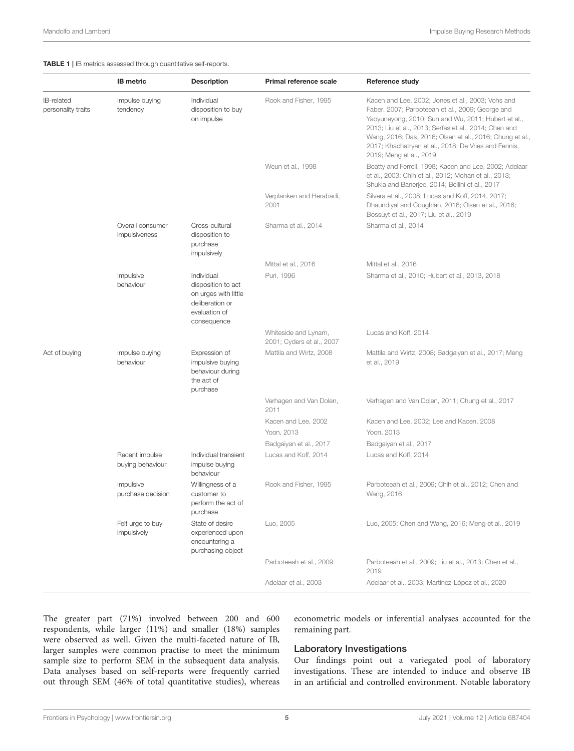<span id="page-4-0"></span>TABLE 1 | IB metrics assessed through quantitative self-reports.

|                                  | <b>IB</b> metric                   | <b>Description</b>                                                                                          | Primal reference scale                            | <b>Reference study</b>                                                                                                                                                                                                                                                                                                                                              |
|----------------------------------|------------------------------------|-------------------------------------------------------------------------------------------------------------|---------------------------------------------------|---------------------------------------------------------------------------------------------------------------------------------------------------------------------------------------------------------------------------------------------------------------------------------------------------------------------------------------------------------------------|
| IB-related<br>personality traits | Impulse buying<br>tendency         | Individual<br>disposition to buy<br>on impulse                                                              | Rook and Fisher, 1995                             | Kacen and Lee, 2002; Jones et al., 2003; Vohs and<br>Faber, 2007; Parboteeah et al., 2009; George and<br>Yaoyuneyong, 2010; Sun and Wu, 2011; Hubert et al.,<br>2013; Liu et al., 2013; Serfas et al., 2014; Chen and<br>Wang, 2016; Das, 2016; Olsen et al., 2016; Chung et al.<br>2017; Khachatryan et al., 2018; De Vries and Fennis,<br>2019; Meng et al., 2019 |
|                                  |                                    |                                                                                                             | Weun et al., 1998                                 | Beatty and Ferrell, 1998; Kacen and Lee, 2002; Adelaar<br>et al., 2003; Chih et al., 2012; Mohan et al., 2013;<br>Shukla and Banerjee, 2014; Bellini et al., 2017                                                                                                                                                                                                   |
|                                  |                                    |                                                                                                             | Verplanken and Herabadi,<br>2001                  | Silvera et al., 2008; Lucas and Koff, 2014, 2017;<br>Dhaundiyal and Coughlan, 2016; Olsen et al., 2016;<br>Bossuyt et al., 2017; Liu et al., 2019                                                                                                                                                                                                                   |
|                                  | Overall consumer<br>impulsiveness  | Cross-cultural<br>disposition to<br>purchase<br>impulsively                                                 | Sharma et al., 2014                               | Sharma et al., 2014                                                                                                                                                                                                                                                                                                                                                 |
|                                  |                                    |                                                                                                             | Mittal et al., 2016                               | Mittal et al., 2016                                                                                                                                                                                                                                                                                                                                                 |
|                                  | Impulsive<br>behaviour             | Individual<br>disposition to act<br>on urges with little<br>deliberation or<br>evaluation of<br>consequence | Puri, 1996                                        | Sharma et al., 2010; Hubert et al., 2013, 2018                                                                                                                                                                                                                                                                                                                      |
|                                  |                                    |                                                                                                             | Whiteside and Lynam,<br>2001; Cyders et al., 2007 | Lucas and Koff, 2014                                                                                                                                                                                                                                                                                                                                                |
| Act of buying                    | Impulse buying<br>behaviour        | Expression of<br>impulsive buying<br>behaviour during<br>the act of<br>purchase                             | Mattila and Wirtz, 2008                           | Mattila and Wirtz, 2008; Badgaiyan et al., 2017; Meng<br>et al., 2019                                                                                                                                                                                                                                                                                               |
|                                  |                                    |                                                                                                             | Verhagen and Van Dolen,<br>2011                   | Verhagen and Van Dolen, 2011; Chung et al., 2017                                                                                                                                                                                                                                                                                                                    |
|                                  |                                    |                                                                                                             | Kacen and Lee, 2002<br>Yoon, 2013                 | Kacen and Lee, 2002; Lee and Kacen, 2008<br>Yoon, 2013                                                                                                                                                                                                                                                                                                              |
|                                  |                                    |                                                                                                             | Badgaiyan et al., 2017                            | Badgaiyan et al., 2017                                                                                                                                                                                                                                                                                                                                              |
|                                  | Recent impulse<br>buying behaviour | Individual transient<br>impulse buying<br>behaviour                                                         | Lucas and Koff, 2014                              | Lucas and Koff, 2014                                                                                                                                                                                                                                                                                                                                                |
|                                  | Impulsive<br>purchase decision     | Willingness of a<br>customer to<br>perform the act of<br>purchase                                           | Rook and Fisher, 1995                             | Parboteeah et al., 2009; Chih et al., 2012; Chen and<br>Wang, 2016                                                                                                                                                                                                                                                                                                  |
|                                  | Felt urge to buy<br>impulsively    | State of desire<br>experienced upon<br>encountering a<br>purchasing object                                  | Luo, 2005                                         | Luo, 2005; Chen and Wang, 2016; Meng et al., 2019                                                                                                                                                                                                                                                                                                                   |
|                                  |                                    |                                                                                                             | Parboteeah et al., 2009                           | Parboteeah et al., 2009; Liu et al., 2013; Chen et al.,<br>2019                                                                                                                                                                                                                                                                                                     |
|                                  |                                    |                                                                                                             | Adelaar et al., 2003                              | Adelaar et al., 2003; Martínez-López et al., 2020                                                                                                                                                                                                                                                                                                                   |

The greater part (71%) involved between 200 and 600 respondents, while larger (11%) and smaller (18%) samples were observed as well. Given the multi-faceted nature of IB, larger samples were common practise to meet the minimum sample size to perform SEM in the subsequent data analysis. Data analyses based on self-reports were frequently carried out through SEM (46% of total quantitative studies), whereas econometric models or inferential analyses accounted for the remaining part.

#### Laboratory Investigations

Our findings point out a variegated pool of laboratory investigations. These are intended to induce and observe IB in an artificial and controlled environment. Notable laboratory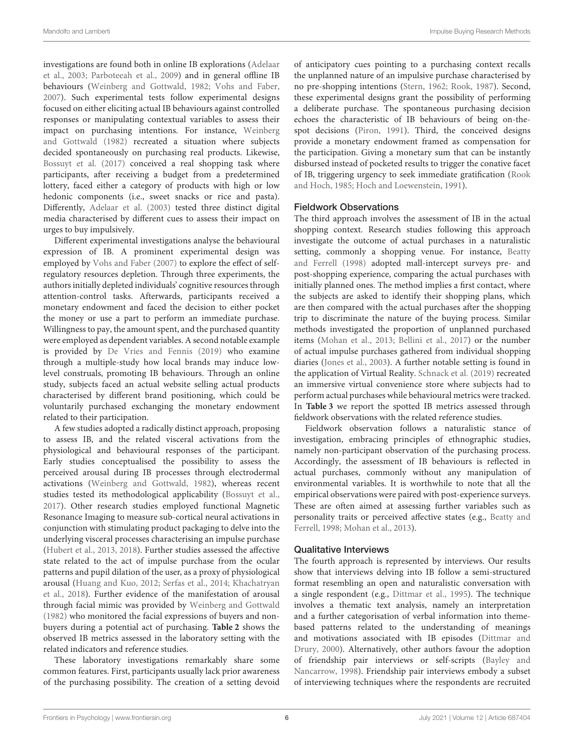investigations are found both in online IB explorations (Adelaar et al., [2003;](#page-9-11) [Parboteeah et al., 2009\)](#page-10-14) and in general offline IB behaviours [\(Weinberg and Gottwald, 1982;](#page-10-12) [Vohs and Faber,](#page-10-28) [2007\)](#page-10-28). Such experimental tests follow experimental designs focused on either eliciting actual IB behaviours against controlled responses or manipulating contextual variables to assess their impact on purchasing intentions. For instance, Weinberg and Gottwald [\(1982\)](#page-10-12) recreated a situation where subjects decided spontaneously on purchasing real products. Likewise, [Bossuyt et al. \(2017\)](#page-9-26) conceived a real shopping task where participants, after receiving a budget from a predetermined lottery, faced either a category of products with high or low hedonic components (i.e., sweet snacks or rice and pasta). Differently, [Adelaar et al. \(2003\)](#page-9-11) tested three distinct digital media characterised by different cues to assess their impact on urges to buy impulsively.

Different experimental investigations analyse the behavioural expression of IB. A prominent experimental design was employed by [Vohs and Faber \(2007\)](#page-10-28) to explore the effect of selfregulatory resources depletion. Through three experiments, the authors initially depleted individuals' cognitive resources through attention-control tasks. Afterwards, participants received a monetary endowment and faced the decision to either pocket the money or use a part to perform an immediate purchase. Willingness to pay, the amount spent, and the purchased quantity were employed as dependent variables. A second notable example is provided by [De Vries and Fennis \(2019\)](#page-9-24) who examine through a multiple-study how local brands may induce lowlevel construals, promoting IB behaviours. Through an online study, subjects faced an actual website selling actual products characterised by different brand positioning, which could be voluntarily purchased exchanging the monetary endowment related to their participation.

A few studies adopted a radically distinct approach, proposing to assess IB, and the related visceral activations from the physiological and behavioural responses of the participant. Early studies conceptualised the possibility to assess the perceived arousal during IB processes through electrodermal activations [\(Weinberg and Gottwald, 1982\)](#page-10-12), whereas recent studies tested its methodological applicability [\(Bossuyt et al.,](#page-9-26) [2017\)](#page-9-26). Other research studies employed functional Magnetic Resonance Imaging to measure sub-cortical neural activations in conjunction with stimulating product packaging to delve into the underlying visceral processes characterising an impulse purchase [\(Hubert et al., 2013,](#page-9-20) [2018\)](#page-9-27). Further studies assessed the affective state related to the act of impulse purchase from the ocular patterns and pupil dilation of the user, as a proxy of physiological arousal [\(Huang and Kuo, 2012;](#page-9-32) [Serfas et al., 2014;](#page-10-29) Khachatryan et al., [2018\)](#page-9-23). Further evidence of the manifestation of arousal through facial mimic was provided by [Weinberg and Gottwald](#page-10-12) [\(1982\)](#page-10-12) who monitored the facial expressions of buyers and nonbuyers during a potential act of purchasing. **[Table 2](#page-6-0)** shows the observed IB metrics assessed in the laboratory setting with the related indicators and reference studies.

These laboratory investigations remarkably share some common features. First, participants usually lack prior awareness of the purchasing possibility. The creation of a setting devoid of anticipatory cues pointing to a purchasing context recalls the unplanned nature of an impulsive purchase characterised by no pre-shopping intentions [\(Stern, 1962;](#page-10-10) [Rook, 1987\)](#page-10-1). Second, these experimental designs grant the possibility of performing a deliberate purchase. The spontaneous purchasing decision echoes the characteristic of IB behaviours of being on-thespot decisions [\(Piron, 1991\)](#page-10-3). Third, the conceived designs provide a monetary endowment framed as compensation for the participation. Giving a monetary sum that can be instantly disbursed instead of pocketed results to trigger the conative facet of IB, triggering urgency to seek immediate gratification (Rook and Hoch, [1985;](#page-10-7) [Hoch and Loewenstein, 1991\)](#page-9-33).

#### Fieldwork Observations

The third approach involves the assessment of IB in the actual shopping context. Research studies following this approach investigate the outcome of actual purchases in a naturalistic setting, commonly a shopping venue. For instance, Beatty and Ferrell [\(1998\)](#page-9-3) adopted mall-intercept surveys pre- and post-shopping experience, comparing the actual purchases with initially planned ones. The method implies a first contact, where the subjects are asked to identify their shopping plans, which are then compared with the actual purchases after the shopping trip to discriminate the nature of the buying process. Similar methods investigated the proportion of unplanned purchased items [\(Mohan et al., 2013;](#page-10-27) [Bellini et al., 2017\)](#page-9-15) or the number of actual impulse purchases gathered from individual shopping diaries [\(Jones et al., 2003\)](#page-9-18). A further notable setting is found in the application of Virtual Reality. [Schnack et al. \(2019\)](#page-10-37) recreated an immersive virtual convenience store where subjects had to perform actual purchases while behavioural metrics were tracked. In **[Table 3](#page-6-1)** we report the spotted IB metrics assessed through fieldwork observations with the related reference studies.

Fieldwork observation follows a naturalistic stance of investigation, embracing principles of ethnographic studies, namely non-participant observation of the purchasing process. Accordingly, the assessment of IB behaviours is reflected in actual purchases, commonly without any manipulation of environmental variables. It is worthwhile to note that all the empirical observations were paired with post-experience surveys. These are often aimed at assessing further variables such as personality traits or perceived affective states (e.g., Beatty and Ferrell, [1998;](#page-9-3) [Mohan et al., 2013\)](#page-10-27).

#### Qualitative Interviews

The fourth approach is represented by interviews. Our results show that interviews delving into IB follow a semi-structured format resembling an open and naturalistic conversation with a single respondent (e.g., [Dittmar et al., 1995\)](#page-9-34). The technique involves a thematic text analysis, namely an interpretation and a further categorisation of verbal information into themebased patterns related to the understanding of meanings and motivations associated with IB episodes (Dittmar and Drury, [2000\)](#page-9-6). Alternatively, other authors favour the adoption of friendship pair interviews or self-scripts (Bayley and Nancarrow, [1998\)](#page-9-35). Friendship pair interviews embody a subset of interviewing techniques where the respondents are recruited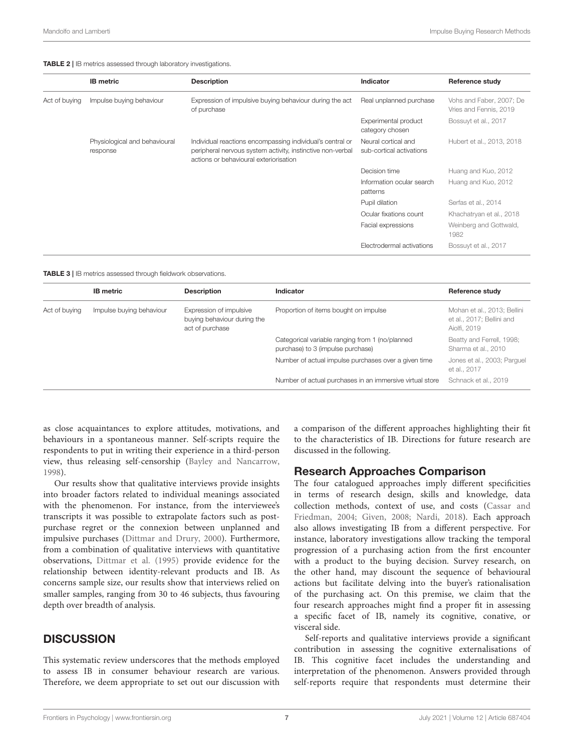<span id="page-6-0"></span>TABLE 2 | IB metrics assessed through laboratory investigations.

|               | <b>IB</b> metric                          | <b>Description</b>                                                                                                                                                | Indicator                                       | <b>Reference study</b>                             |
|---------------|-------------------------------------------|-------------------------------------------------------------------------------------------------------------------------------------------------------------------|-------------------------------------------------|----------------------------------------------------|
| Act of buying | Impulse buying behaviour                  | Expression of impulsive buying behaviour during the act<br>of purchase                                                                                            | Real unplanned purchase                         | Vohs and Faber, 2007; De<br>Vries and Fennis, 2019 |
|               |                                           |                                                                                                                                                                   | Experimental product<br>category chosen         | Bossuyt et al., 2017                               |
|               | Physiological and behavioural<br>response | Individual reactions encompassing individual's central or<br>peripheral nervous system activity, instinctive non-verbal<br>actions or behavioural exteriorisation | Neural cortical and<br>sub-cortical activations | Hubert et al., 2013, 2018                          |
|               |                                           |                                                                                                                                                                   | Decision time                                   | Huang and Kuo, 2012                                |
|               |                                           | patterns                                                                                                                                                          | Information ocular search                       | Huang and Kuo, 2012                                |
|               |                                           |                                                                                                                                                                   | Pupil dilation                                  | Serfas et al., 2014                                |
|               |                                           |                                                                                                                                                                   | Ocular fixations count                          | Khachatryan et al., 2018                           |
|               |                                           |                                                                                                                                                                   | Facial expressions                              | Weinberg and Gottwald,<br>1982                     |
|               |                                           |                                                                                                                                                                   | Electrodermal activations                       | Bossuyt et al., 2017                               |
|               |                                           |                                                                                                                                                                   |                                                 |                                                    |

<span id="page-6-1"></span>TABLE 3 | IB metrics assessed through fieldwork observations.

|               | <b>IB</b> metric                                                                                      | <b>Description</b> | Indicator                                                                                                                                    | Reference study                                                          |
|---------------|-------------------------------------------------------------------------------------------------------|--------------------|----------------------------------------------------------------------------------------------------------------------------------------------|--------------------------------------------------------------------------|
| Act of buying | Impulse buying behaviour<br>Expression of impulsive<br>buying behaviour during the<br>act of purchase |                    | Proportion of items bought on impulse                                                                                                        | Mohan et al., 2013; Bellini<br>et al., 2017; Bellini and<br>Aiolfi, 2019 |
|               |                                                                                                       |                    | Categorical variable ranging from 1 (no/planned<br>purchase) to 3 (impulse purchase)<br>Number of actual impulse purchases over a given time | Beatty and Ferrell, 1998;<br>Sharma et al., 2010                         |
|               |                                                                                                       |                    |                                                                                                                                              | Jones et al., 2003; Parquel<br>et al., 2017                              |
|               |                                                                                                       |                    | Number of actual purchases in an immersive virtual store                                                                                     | Schnack et al., 2019                                                     |

as close acquaintances to explore attitudes, motivations, and behaviours in a spontaneous manner. Self-scripts require the respondents to put in writing their experience in a third-person view, thus releasing self-censorship [\(Bayley and Nancarrow,](#page-9-35) [1998\)](#page-9-35).

Our results show that qualitative interviews provide insights into broader factors related to individual meanings associated with the phenomenon. For instance, from the interviewee's transcripts it was possible to extrapolate factors such as postpurchase regret or the connexion between unplanned and impulsive purchases [\(Dittmar and Drury, 2000\)](#page-9-6). Furthermore, from a combination of qualitative interviews with quantitative observations, [Dittmar et al. \(1995\)](#page-9-34) provide evidence for the relationship between identity-relevant products and IB. As concerns sample size, our results show that interviews relied on smaller samples, ranging from 30 to 46 subjects, thus favouring depth over breadth of analysis.

#### **DISCUSSION**

This systematic review underscores that the methods employed to assess IB in consumer behaviour research are various. Therefore, we deem appropriate to set out our discussion with a comparison of the different approaches highlighting their fit to the characteristics of IB. Directions for future research are discussed in the following.

#### Research Approaches Comparison

The four catalogued approaches imply different specificities in terms of research design, skills and knowledge, data collection methods, context of use, and costs (Cassar and Friedman, [2004;](#page-9-36) [Given, 2008;](#page-9-37) [Nardi, 2018\)](#page-10-39). Each approach also allows investigating IB from a different perspective. For instance, laboratory investigations allow tracking the temporal progression of a purchasing action from the first encounter with a product to the buying decision. Survey research, on the other hand, may discount the sequence of behavioural actions but facilitate delving into the buyer's rationalisation of the purchasing act. On this premise, we claim that the four research approaches might find a proper fit in assessing a specific facet of IB, namely its cognitive, conative, or visceral side.

Self-reports and qualitative interviews provide a significant contribution in assessing the cognitive externalisations of IB. This cognitive facet includes the understanding and interpretation of the phenomenon. Answers provided through self-reports require that respondents must determine their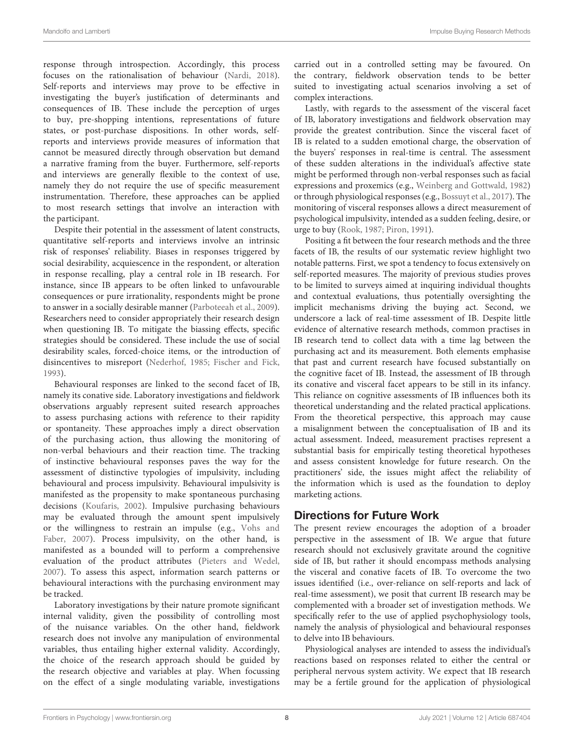response through introspection. Accordingly, this process focuses on the rationalisation of behaviour [\(Nardi, 2018\)](#page-10-39). Self-reports and interviews may prove to be effective in investigating the buyer's justification of determinants and consequences of IB. These include the perception of urges to buy, pre-shopping intentions, representations of future states, or post-purchase dispositions. In other words, selfreports and interviews provide measures of information that cannot be measured directly through observation but demand a narrative framing from the buyer. Furthermore, self-reports and interviews are generally flexible to the context of use, namely they do not require the use of specific measurement instrumentation. Therefore, these approaches can be applied to most research settings that involve an interaction with the participant.

Despite their potential in the assessment of latent constructs, quantitative self-reports and interviews involve an intrinsic risk of responses' reliability. Biases in responses triggered by social desirability, acquiescence in the respondent, or alteration in response recalling, play a central role in IB research. For instance, since IB appears to be often linked to unfavourable consequences or pure irrationality, respondents might be prone to answer in a socially desirable manner [\(Parboteeah et al., 2009\)](#page-10-14). Researchers need to consider appropriately their research design when questioning IB. To mitigate the biassing effects, specific strategies should be considered. These include the use of social desirability scales, forced-choice items, or the introduction of disincentives to misreport [\(Nederhof, 1985;](#page-10-40) [Fischer and Fick,](#page-9-38) [1993\)](#page-9-38).

Behavioural responses are linked to the second facet of IB, namely its conative side. Laboratory investigations and fieldwork observations arguably represent suited research approaches to assess purchasing actions with reference to their rapidity or spontaneity. These approaches imply a direct observation of the purchasing action, thus allowing the monitoring of non-verbal behaviours and their reaction time. The tracking of instinctive behavioural responses paves the way for the assessment of distinctive typologies of impulsivity, including behavioural and process impulsivity. Behavioural impulsivity is manifested as the propensity to make spontaneous purchasing decisions [\(Koufaris, 2002\)](#page-9-39). Impulsive purchasing behaviours may be evaluated through the amount spent impulsively or the willingness to restrain an impulse (e.g., Vohs and Faber, [2007\)](#page-10-28). Process impulsivity, on the other hand, is manifested as a bounded will to perform a comprehensive evaluation of the product attributes [\(Pieters and Wedel,](#page-10-41) [2007\)](#page-10-41). To assess this aspect, information search patterns or behavioural interactions with the purchasing environment may be tracked.

Laboratory investigations by their nature promote significant internal validity, given the possibility of controlling most of the nuisance variables. On the other hand, fieldwork research does not involve any manipulation of environmental variables, thus entailing higher external validity. Accordingly, the choice of the research approach should be guided by the research objective and variables at play. When focussing on the effect of a single modulating variable, investigations carried out in a controlled setting may be favoured. On the contrary, fieldwork observation tends to be better suited to investigating actual scenarios involving a set of complex interactions.

Lastly, with regards to the assessment of the visceral facet of IB, laboratory investigations and fieldwork observation may provide the greatest contribution. Since the visceral facet of IB is related to a sudden emotional charge, the observation of the buyers' responses in real-time is central. The assessment of these sudden alterations in the individual's affective state might be performed through non-verbal responses such as facial expressions and proxemics (e.g., [Weinberg and Gottwald, 1982\)](#page-10-12) or through physiological responses (e.g., [Bossuyt et al., 2017\)](#page-9-26). The monitoring of visceral responses allows a direct measurement of psychological impulsivity, intended as a sudden feeling, desire, or urge to buy [\(Rook, 1987;](#page-10-1) [Piron, 1991\)](#page-10-3).

Positing a fit between the four research methods and the three facets of IB, the results of our systematic review highlight two notable patterns. First, we spot a tendency to focus extensively on self-reported measures. The majority of previous studies proves to be limited to surveys aimed at inquiring individual thoughts and contextual evaluations, thus potentially oversighting the implicit mechanisms driving the buying act. Second, we underscore a lack of real-time assessment of IB. Despite little evidence of alternative research methods, common practises in IB research tend to collect data with a time lag between the purchasing act and its measurement. Both elements emphasise that past and current research have focused substantially on the cognitive facet of IB. Instead, the assessment of IB through its conative and visceral facet appears to be still in its infancy. This reliance on cognitive assessments of IB influences both its theoretical understanding and the related practical applications. From the theoretical perspective, this approach may cause a misalignment between the conceptualisation of IB and its actual assessment. Indeed, measurement practises represent a substantial basis for empirically testing theoretical hypotheses and assess consistent knowledge for future research. On the practitioners' side, the issues might affect the reliability of the information which is used as the foundation to deploy marketing actions.

## Directions for Future Work

The present review encourages the adoption of a broader perspective in the assessment of IB. We argue that future research should not exclusively gravitate around the cognitive side of IB, but rather it should encompass methods analysing the visceral and conative facets of IB. To overcome the two issues identified (i.e., over-reliance on self-reports and lack of real-time assessment), we posit that current IB research may be complemented with a broader set of investigation methods. We specifically refer to the use of applied psychophysiology tools, namely the analysis of physiological and behavioural responses to delve into IB behaviours.

Physiological analyses are intended to assess the individual's reactions based on responses related to either the central or peripheral nervous system activity. We expect that IB research may be a fertile ground for the application of physiological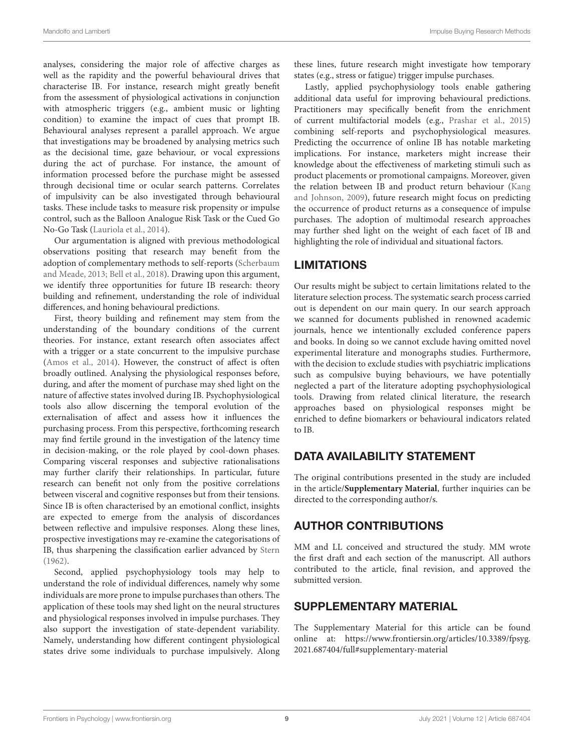analyses, considering the major role of affective charges as well as the rapidity and the powerful behavioural drives that characterise IB. For instance, research might greatly benefit from the assessment of physiological activations in conjunction with atmospheric triggers (e.g., ambient music or lighting condition) to examine the impact of cues that prompt IB. Behavioural analyses represent a parallel approach. We argue that investigations may be broadened by analysing metrics such as the decisional time, gaze behaviour, or vocal expressions during the act of purchase. For instance, the amount of information processed before the purchase might be assessed through decisional time or ocular search patterns. Correlates of impulsivity can be also investigated through behavioural tasks. These include tasks to measure risk propensity or impulse control, such as the Balloon Analogue Risk Task or the Cued Go No-Go Task [\(Lauriola et al., 2014\)](#page-9-40).

Our argumentation is aligned with previous methodological observations positing that research may benefit from the adoption of complementary methods to self-reports (Scherbaum and Meade, [2013;](#page-10-42) [Bell et al., 2018\)](#page-9-41). Drawing upon this argument, we identify three opportunities for future IB research: theory building and refinement, understanding the role of individual differences, and honing behavioural predictions.

First, theory building and refinement may stem from the understanding of the boundary conditions of the current theories. For instance, extant research often associates affect with a trigger or a state concurrent to the impulsive purchase [\(Amos et al., 2014\)](#page-9-0). However, the construct of affect is often broadly outlined. Analysing the physiological responses before, during, and after the moment of purchase may shed light on the nature of affective states involved during IB. Psychophysiological tools also allow discerning the temporal evolution of the externalisation of affect and assess how it influences the purchasing process. From this perspective, forthcoming research may find fertile ground in the investigation of the latency time in decision-making, or the role played by cool-down phases. Comparing visceral responses and subjective rationalisations may further clarify their relationships. In particular, future research can benefit not only from the positive correlations between visceral and cognitive responses but from their tensions. Since IB is often characterised by an emotional conflict, insights are expected to emerge from the analysis of discordances between reflective and impulsive responses. Along these lines, prospective investigations may re-examine the categorisations of IB, thus sharpening the classification earlier advanced by [Stern](#page-10-10) [\(1962\)](#page-10-10).

Second, applied psychophysiology tools may help to understand the role of individual differences, namely why some individuals are more prone to impulse purchases than others. The application of these tools may shed light on the neural structures and physiological responses involved in impulse purchases. They also support the investigation of state-dependent variability. Namely, understanding how different contingent physiological states drive some individuals to purchase impulsively. Along these lines, future research might investigate how temporary states (e.g., stress or fatigue) trigger impulse purchases.

Lastly, applied psychophysiology tools enable gathering additional data useful for improving behavioural predictions. Practitioners may specifically benefit from the enrichment of current multifactorial models (e.g., [Prashar et al., 2015\)](#page-10-43) combining self-reports and psychophysiological measures. Predicting the occurrence of online IB has notable marketing implications. For instance, marketers might increase their knowledge about the effectiveness of marketing stimuli such as product placements or promotional campaigns. Moreover, given the relation between IB and product return behaviour (Kang and Johnson, [2009\)](#page-9-42), future research might focus on predicting the occurrence of product returns as a consequence of impulse purchases. The adoption of multimodal research approaches may further shed light on the weight of each facet of IB and highlighting the role of individual and situational factors.

# LIMITATIONS

Our results might be subject to certain limitations related to the literature selection process. The systematic search process carried out is dependent on our main query. In our search approach we scanned for documents published in renowned academic journals, hence we intentionally excluded conference papers and books. In doing so we cannot exclude having omitted novel experimental literature and monographs studies. Furthermore, with the decision to exclude studies with psychiatric implications such as compulsive buying behaviours, we have potentially neglected a part of the literature adopting psychophysiological tools. Drawing from related clinical literature, the research approaches based on physiological responses might be enriched to define biomarkers or behavioural indicators related to IB.

# DATA AVAILABILITY STATEMENT

The original contributions presented in the study are included in the article/**[Supplementary Material](#page-8-0)**, further inquiries can be directed to the corresponding author/s.

# AUTHOR CONTRIBUTIONS

MM and LL conceived and structured the study. MM wrote the first draft and each section of the manuscript. All authors contributed to the article, final revision, and approved the submitted version.

# SUPPLEMENTARY MATERIAL

<span id="page-8-0"></span>The Supplementary Material for this article can be found [online at: https://www.frontiersin.org/articles/10.3389/fpsyg.](https://www.frontiersin.org/articles/10.3389/fpsyg.2021.687404/full#supplementary-material) 2021.687404/full#supplementary-material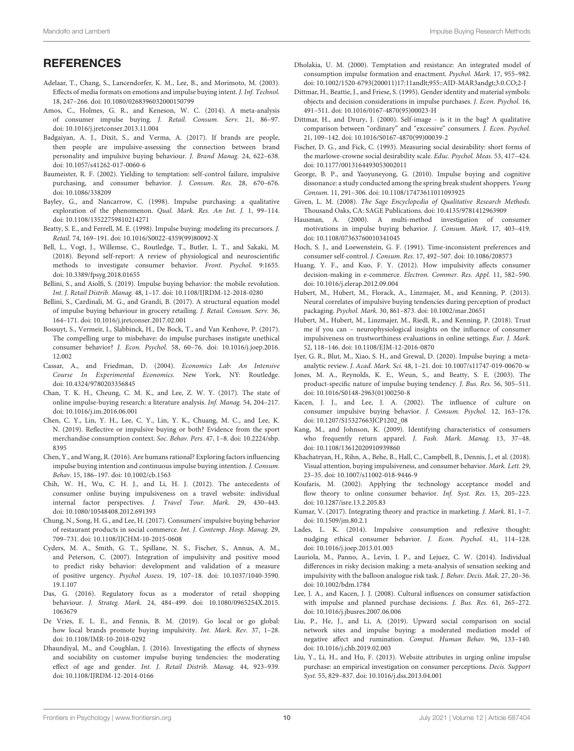# **REFERENCES**

- <span id="page-9-11"></span>Adelaar, T., Chang, S., Lancendorfer, K. M., Lee, B., and Morimoto, M. (2003). Effects of media formats on emotions and impulse buying intent. J. Inf. Technol. 18, 247–266. doi: [10.1080/0268396032000150799](https://doi.org/10.1080/0268396032000150799)
- <span id="page-9-0"></span>Amos, C., Holmes, G. R., and Keneson, W. C. (2014). A meta-analysis of consumer impulse buying. J. Retail. Consum. Serv. 21, 86–97. doi: [10.1016/j.jretconser.2013.11.004](https://doi.org/10.1016/j.jretconser.2013.11.004)
- <span id="page-9-29"></span>Badgaiyan, A. J., Dixit, S., and Verma, A. (2017). If brands are people, then people are impulsive-assessing the connection between brand personality and impulsive buying behaviour. J. Brand Manag. 24, 622–638. doi: [10.1057/s41262-017-0060-6](https://doi.org/10.1057/s41262-017-0060-6)
- <span id="page-9-5"></span>Baumeister, R. F. (2002). Yielding to temptation: self-control failure, impulsive purchasing, and consumer behavior. J. Consum. Res. 28, 670–676. doi: [10.1086/338209](https://doi.org/10.1086/338209)
- <span id="page-9-35"></span>Bayley, G., and Nancarrow, C. (1998). Impulse purchasing: a qualitative exploration of the phenomenon. Qual. Mark. Res. An Int. J. 1, 99–114. doi: [10.1108/13522759810214271](https://doi.org/10.1108/13522759810214271)
- <span id="page-9-3"></span>Beatty, S. E., and Ferrell, M. E. (1998). Impulse buying: modeling its precursors. J. Retail. 74, 169–191. doi: [10.1016/S0022-4359\(99\)80092-X](https://doi.org/10.1016/S0022-4359(99)80092-X)
- <span id="page-9-41"></span>Bell, L., Vogt, J., Willemse, C., Routledge, T., Butler, L. T., and Sakaki, M. (2018). Beyond self-report: A review of physiological and neuroscientific methods to investigate consumer behavior. Front. Psychol. 9:1655. doi: [10.3389/fpsyg.2018.01655](https://doi.org/10.3389/fpsyg.2018.01655)
- <span id="page-9-12"></span>Bellini, S., and Aiolfi, S. (2019). Impulse buying behavior: the mobile revolution. Int. J. Retail Distrib. Manag. 48, 1–17. doi: [10.1108/IJRDM-12-2018-0280](https://doi.org/10.1108/IJRDM-12-2018-0280)
- <span id="page-9-15"></span>Bellini, S., Cardinali, M. G., and Grandi, B. (2017). A structural equation model of impulse buying behaviour in grocery retailing. J. Retail. Consum. Serv. 36, 164–171. doi: [10.1016/j.jretconser.2017.02.001](https://doi.org/10.1016/j.jretconser.2017.02.001)
- <span id="page-9-26"></span>Bossuyt, S., Vermeir, I., Slabbinck, H., De Bock, T., and Van Kenhove, P. (2017). The compelling urge to misbehave: do impulse purchases instigate unethical consumer behavior? J. Econ. Psychol. [58, 60–76. doi: 10.1016/j.joep.2016.](https://doi.org/10.1016/j.joep.2016.12.002) 12.002
- <span id="page-9-36"></span>Cassar, A., and Friedman, D. (2004). Economics Lab: An Intensive Course In Experimental Economics. New York, NY: Routledge. doi: [10.4324/9780203356845](https://doi.org/10.4324/9780203356845)
- <span id="page-9-1"></span>Chan, T. K. H., Cheung, C. M. K., and Lee, Z. W. Y. (2017). The state of online impulse-buying research: a literature analysis. Inf. Manag. 54, 204–217. doi: [10.1016/j.im.2016.06.001](https://doi.org/10.1016/j.im.2016.06.001)
- <span id="page-9-31"></span>Chen, C. Y., Lin, Y. H., Lee, C. Y., Lin, Y. K., Chuang, M. C., and Lee, K. N. (2019). Reflective or impulsive buying or both? Evidence from the sport [merchandise consumption context.](https://doi.org/10.2224/sbp.8395) Soc. Behav. Pers. 47, 1–8. doi: 10.2224/sbp. 8395
- <span id="page-9-21"></span>Chen, Y., and Wang, R. (2016). Are humans rational? Exploring factors influencing impulse buying intention and continuous impulse buying intention. J. Consum. Behav. 15, 186–197. doi: [10.1002/cb.1563](https://doi.org/10.1002/cb.1563)
- <span id="page-9-13"></span>Chih, W. H., Wu, C. H. J., and Li, H. J. (2012). The antecedents of consumer online buying impulsiveness on a travel website: individual internal factor perspectives. J. Travel Tour. Mark. 29, 430–443. doi: [10.1080/10548408.2012.691393](https://doi.org/10.1080/10548408.2012.691393)
- <span id="page-9-22"></span>Chung, N., Song, H. G., and Lee, H. (2017). Consumers' impulsive buying behavior of restaurant products in social commerce. Int. J. Contemp. Hosp. Manag. 29, 709–731. doi: [10.1108/IJCHM-10-2015-0608](https://doi.org/10.1108/IJCHM-10-2015-0608)
- <span id="page-9-28"></span>Cyders, M. A., Smith, G. T., Spillane, N. S., Fischer, S., Annus, A. M., and Peterson, C. (2007). Integration of impulsivity and positive mood to predict risky behavior: development and validation of a measure of positive urgency. Psychol Assess[. 19, 107–18. doi: 10.1037/1040-3590.](https://doi.org/10.1037/1040-3590.19.1.107) 19.1.107
- <span id="page-9-17"></span>Das, G. (2016). Regulatory focus as a moderator of retail shopping behaviour. J. Strateg. Mark. [24, 484–499. doi: 10.1080/0965254X.2015.](https://doi.org/10.1080/0965254X.2015.1063679) 1063679
- <span id="page-9-24"></span>De Vries, E. L. E., and Fennis, B. M. (2019). Go local or go global: how local brands promote buying impulsivity. Int. Mark. Rev. 37, 1–28. doi: [10.1108/IMR-10-2018-0292](https://doi.org/10.1108/IMR-10-2018-0292)
- <span id="page-9-25"></span>Dhaundiyal, M., and Coughlan, J. (2016). Investigating the effects of shyness and sociability on customer impulse buying tendencies: the moderating effect of age and gender. Int. J. Retail Distrib. Manag. 44, 923–939. doi: [10.1108/IJRDM-12-2014-0166](https://doi.org/10.1108/IJRDM-12-2014-0166)
- <span id="page-9-7"></span>Dholakia, U. M. (2000). Temptation and resistance: An integrated model of consumption impulse formation and enactment. Psychol. Mark. 17, 955–982. doi: [10.1002/1520-6793\(200011\)17:11andlt;](https://doi.org/10.1002/1520-6793(200011)17:11andlt)955::AID-MAR3andgt;3.0.CO;2-J
- <span id="page-9-34"></span>Dittmar, H., Beattie, J., and Friese, S. (1995). Gender identity and material symbols: objects and decision considerations in impulse purchases. J. Econ. Psychol. 16, 491–511. doi: [10.1016/0167-4870\(95\)00023-H](https://doi.org/10.1016/0167-4870(95)00023-H)
- <span id="page-9-6"></span>Dittmar, H., and Drury, J. (2000). Self-image - is it in the bag? A qualitative comparison between "ordinary" and "excessive" consumers. J. Econ. Psychol. 21, 109–142. doi: [10.1016/S0167-4870\(99\)00039-2](https://doi.org/10.1016/S0167-4870(99)00039-2)
- <span id="page-9-38"></span>Fischer, D. G., and Fick, C. (1993). Measuring social desirability: short forms of the marlowe-crowne social desirability scale. Educ. Psychol. Meas. 53, 417–424. doi: [10.1177/0013164493053002011](https://doi.org/10.1177/0013164493053002011)
- <span id="page-9-19"></span>George, B. P., and Yaoyuneyong, G. (2010). Impulse buying and cognitive dissonance: a study conducted among the spring break student shoppers. Young Consum. 11, 291–306. doi: [10.1108/17473611011093925](https://doi.org/10.1108/17473611011093925)
- <span id="page-9-37"></span>Given, L. M. (2008). The Sage Encyclopedia of Qualitative Research Methods. Thousand Oaks, CA: SAGE Publications. doi: [10.4135/9781412963909](https://doi.org/10.4135/9781412963909)
- <span id="page-9-9"></span>Hausman, A. (2000). A multi-method investigation of consumer motivations in impulse buying behavior. J. Consum. Mark. 17, 403–419. doi: [10.1108/07363760010341045](https://doi.org/10.1108/07363760010341045)
- <span id="page-9-33"></span>Hoch, S. J., and Loewenstein, G. F. (1991). Time-inconsistent preferences and consumer self-control. J. Consum. Res. 17, 492–507. doi: [10.1086/208573](https://doi.org/10.1086/208573)
- <span id="page-9-32"></span>Huang, Y. F., and Kuo, F. Y. (2012). How impulsivity affects consumer decision-making in e-commerce. Electron. Commer. Res. Appl. 11, 582–590. doi: [10.1016/j.elerap.2012.09.004](https://doi.org/10.1016/j.elerap.2012.09.004)
- <span id="page-9-20"></span>Hubert, M., Hubert, M., Florack, A., Linzmajer, M., and Kenning, P. (2013). Neural correlates of impulsive buying tendencies during perception of product packaging. Psychol. Mark. 30, 861–873. doi: [10.1002/mar.20651](https://doi.org/10.1002/mar.20651)
- <span id="page-9-27"></span>Hubert, M., Hubert, M., Linzmajer, M., Riedl, R., and Kenning, P. (2018). Trust me if you can – neurophysiological insights on the influence of consumer impulsiveness on trustworthiness evaluations in online settings. Eur. J. Mark. 52, 118–146. doi: [10.1108/EJM-12-2016-0870](https://doi.org/10.1108/EJM-12-2016-0870)
- <span id="page-9-2"></span>Iyer, G. R., Blut, M., Xiao, S. H., and Grewal, D. (2020). Impulse buying: a metaanalytic review. J. Acad. Mark. Sci. 48, 1–21. doi: [10.1007/s11747-019-00670-w](https://doi.org/10.1007/s11747-019-00670-w)
- <span id="page-9-18"></span>Jones, M. A., Reynolds, K. E., Weun, S., and Beatty, S. E. (2003). The product-specific nature of impulse buying tendency. J. Bus. Res. 56, 505–511. doi: [10.1016/S0148-2963\(01\)00250-8](https://doi.org/10.1016/S0148-2963(01)00250-8)
- <span id="page-9-10"></span>Kacen, J. J., and Lee, J. A. (2002). The influence of culture on consumer impulsive buying behavior. J. Consum. Psychol. 12, 163–176. doi: [10.1207/S15327663JCP1202\\_08](https://doi.org/10.1207/S15327663JCP1202_08)
- <span id="page-9-42"></span>Kang, M., and Johnson, K. (2009). Identifying characteristics of consumers who frequently return apparel. J. Fash. Mark. Manag. 13, 37–48. doi: [10.1108/13612020910939860](https://doi.org/10.1108/13612020910939860)
- <span id="page-9-23"></span>Khachatryan, H., Rihn, A., Behe, B., Hall, C., Campbell, B., Dennis, J., et al. (2018). Visual attention, buying impulsiveness, and consumer behavior. Mark. Lett. 29, 23–35. doi: [10.1007/s11002-018-9446-9](https://doi.org/10.1007/s11002-018-9446-9)
- <span id="page-9-39"></span>Koufaris, M. (2002). Applying the technology acceptance model and flow theory to online consumer behavior. Inf. Syst. Res. 13, 205-223. doi: [10.1287/isre.13.2.205.83](https://doi.org/10.1287/isre.13.2.205.83)
- <span id="page-9-8"></span>Kumar, V. (2017). Integrating theory and practice in marketing. J. Mark. 81, 1–7. doi: [10.1509/jm.80.2.1](https://doi.org/10.1509/jm.80.2.1)
- <span id="page-9-4"></span>Lades, L. K. (2014). Impulsive consumption and reflexive thought: nudging ethical consumer behavior. J. Econ. Psychol. 41, 114–128. doi: [10.1016/j.joep.2013.01.003](https://doi.org/10.1016/j.joep.2013.01.003)
- <span id="page-9-40"></span>Lauriola, M., Panno, A., Levin, I. P., and Lejuez, C. W. (2014). Individual differences in risky decision making: a meta-analysis of sensation seeking and impulsivity with the balloon analogue risk task. J. Behav. Decis. Mak. 27, 20–36. doi: [10.1002/bdm.1784](https://doi.org/10.1002/bdm.1784)
- <span id="page-9-30"></span>Lee, J. A., and Kacen, J. J. (2008). Cultural influences on consumer satisfaction with impulse and planned purchase decisions. J. Bus. Res. 61, 265–272. doi: [10.1016/j.jbusres.2007.06.006](https://doi.org/10.1016/j.jbusres.2007.06.006)
- <span id="page-9-16"></span>Liu, P., He, J., and Li, A. (2019). Upward social comparison on social network sites and impulse buying: a moderated mediation model of negative affect and rumination. Comput. Human Behav. 96, 133–140. doi: [10.1016/j.chb.2019.02.003](https://doi.org/10.1016/j.chb.2019.02.003)
- <span id="page-9-14"></span>Liu, Y., Li, H., and Hu, F. (2013). Website attributes in urging online impulse purchase: an empirical investigation on consumer perceptions. Decis. Support Syst. 55, 829–837. doi: [10.1016/j.dss.2013.04.001](https://doi.org/10.1016/j.dss.2013.04.001)